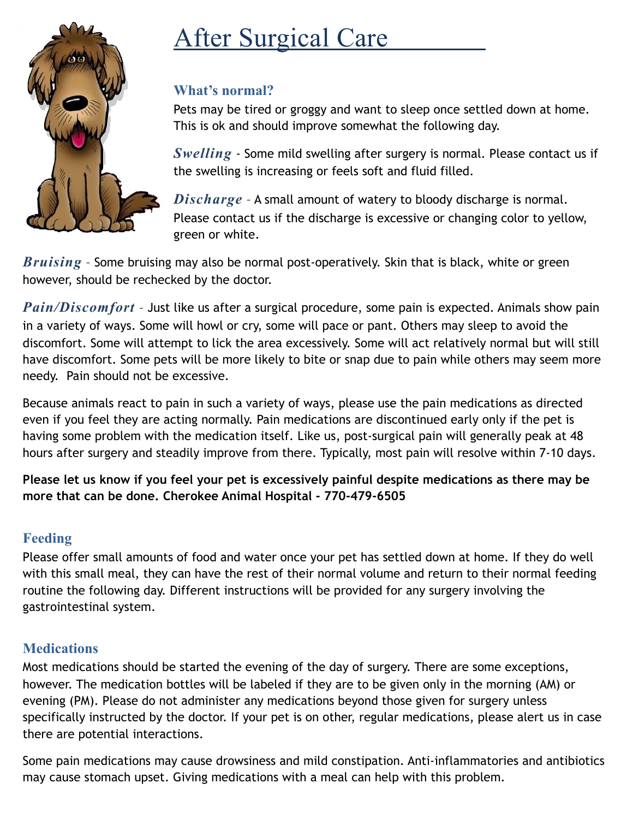

# **After Surgical Care**

## **What's normal?**

Pets may be tired or groggy and want to sleep once settled down at home. This is ok and should improve somewhat the following day.

*Swelling* - Some mild swelling after surgery is normal. Please contact us if the swelling is increasing or feels soft and fluid filled.

*Discharge* – A small amount of watery to bloody discharge is normal. Please contact us if the discharge is excessive or changing color to yellow, green or white.

*Bruising* – Some bruising may also be normal post-operatively. Skin that is black, white or green however, should be rechecked by the doctor.

*Pain/Discomfort* – Just like us after a surgical procedure, some pain is expected. Animals show pain in a variety of ways. Some will howl or cry, some will pace or pant. Others may sleep to avoid the discomfort. Some will attempt to lick the area excessively. Some will act relatively normal but will still have discomfort. Some pets will be more likely to bite or snap due to pain while others may seem more needy. Pain should not be excessive.

Because animals react to pain in such a variety of ways, please use the pain medications as directed even if you feel they are acting normally. Pain medications are discontinued early only if the pet is having some problem with the medication itself. Like us, post-surgical pain will generally peak at 48 hours after surgery and steadily improve from there. Typically, most pain will resolve within 7-10 days.

**Please let us know if you feel your pet is excessively painful despite medications as there may be more that can be done. Cherokee Animal Hospital - 770-479-6505**

# **Feeding**

Please offer small amounts of food and water once your pet has settled down at home. If they do well with this small meal, they can have the rest of their normal volume and return to their normal feeding routine the following day. Different instructions will be provided for any surgery involving the gastrointestinal system.

### **Medications**

Most medications should be started the evening of the day of surgery. There are some exceptions, however. The medication bottles will be labeled if they are to be given only in the morning (AM) or evening (PM). Please do not administer any medications beyond those given for surgery unless specifically instructed by the doctor. If your pet is on other, regular medications, please alert us in case there are potential interactions.

Some pain medications may cause drowsiness and mild constipation. Anti-inflammatories and antibiotics may cause stomach upset. Giving medications with a meal can help with this problem.